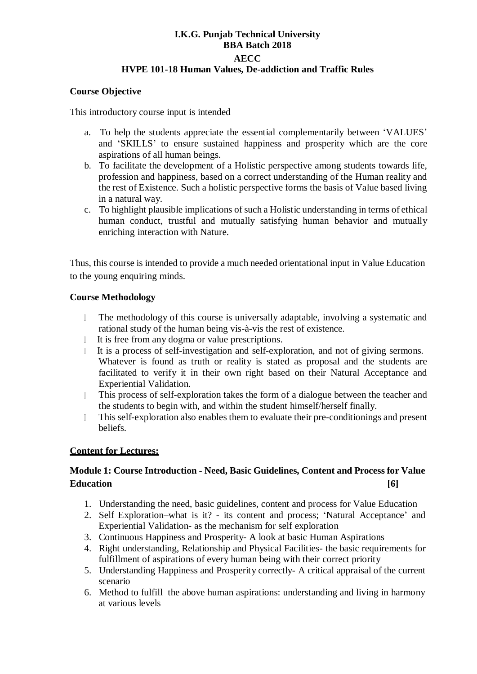### **I.K.G. Punjab Technical University BBA Batch 2018 AECC HVPE 101-18 Human Values, De-addiction and Traffic Rules**

#### **Course Objective**

This introductory course input is intended

- a. To help the students appreciate the essential complementarily between 'VALUES' and 'SKILLS' to ensure sustained happiness and prosperity which are the core aspirations of all human beings.
- b. To facilitate the development of a Holistic perspective among students towards life, profession and happiness, based on a correct understanding of the Human reality and the rest of Existence. Such a holistic perspective forms the basis of Value based living in a natural way.
- c. To highlight plausible implications of such a Holistic understanding in terms of ethical human conduct, trustful and mutually satisfying human behavior and mutually enriching interaction with Nature.

Thus, this course is intended to provide a much needed orientational input in Value Education to the young enquiring minds.

#### **Course Methodology**

- $\mathbb{L}$ The methodology of this course is universally adaptable, involving a systematic and rational study of the human being vis-à-vis the rest of existence.
- It is free from any dogma or value prescriptions.  $\mathbb T$
- It is a process of self-investigation and self-exploration, and not of giving sermons.  $\mathbb{L}$ Whatever is found as truth or reality is stated as proposal and the students are facilitated to verify it in their own right based on their Natural Acceptance and Experiential Validation.
- This process of self-exploration takes the form of a dialogue between the teacher and  $\mathbb{L}$ the students to begin with, and within the student himself/herself finally.
- $\mathbb{L}$ This self-exploration also enables them to evaluate their pre-conditionings and present beliefs.

#### **Content for Lectures:**

# **Module 1: Course Introduction - Need, Basic Guidelines, Content and Process for Value Education [6]**

- 1. Understanding the need, basic guidelines, content and process for Value Education
- 2. Self Exploration–what is it? its content and process; 'Natural Acceptance' and Experiential Validation- as the mechanism for self exploration
- 3. Continuous Happiness and Prosperity- A look at basic Human Aspirations
- 4. Right understanding, Relationship and Physical Facilities- the basic requirements for fulfillment of aspirations of every human being with their correct priority
- 5. Understanding Happiness and Prosperity correctly- A critical appraisal of the current scenario
- 6. Method to fulfill the above human aspirations: understanding and living in harmony at various levels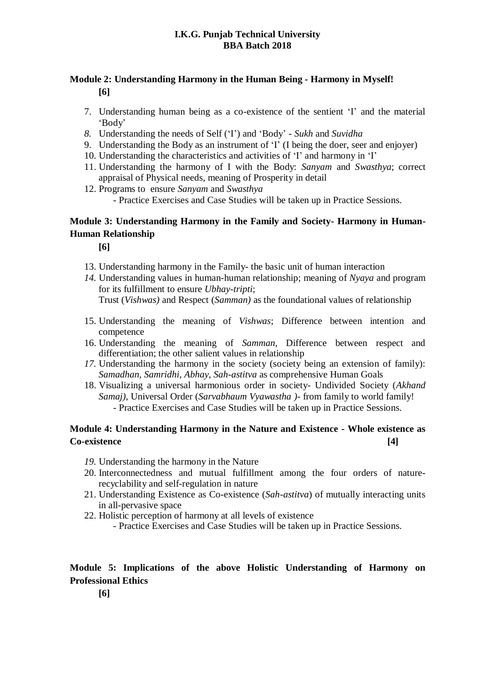#### **I.K.G. Punjab Technical University BBA Batch 2018**

# **Module 2: Understanding Harmony in the Human Being - Harmony in Myself! [6]**

- 7. Understanding human being as a co-existence of the sentient 'I' and the material 'Body'
- *8.* Understanding the needs of Self ('I') and 'Body' *Sukh* and *Suvidha*
- 9. Understanding the Body as an instrument of 'I' (I being the doer, seer and enjoyer)
- 10. Understanding the characteristics and activities of 'I' and harmony in 'I'
- 11. Understanding the harmony of I with the Body: *Sanyam* and *Swasthya*; correct appraisal of Physical needs, meaning of Prosperity in detail
- 12. Programs to ensure *Sanyam* and *Swasthya*
	- Practice Exercises and Case Studies will be taken up in Practice Sessions.

# **Module 3: Understanding Harmony in the Family and Society- Harmony in Human-Human Relationship**

**[6]**

- 13. Understanding harmony in the Family- the basic unit of human interaction
- *14.* Understanding values in human-human relationship; meaning of *Nyaya* and program for its fulfillment to ensure *Ubhay-tripti*; Trust (*Vishwas)* and Respect (*Samman)* as the foundational values of relationship
- 15. Understanding the meaning of *Vishwas*; Difference between intention and
- competence 16. Understanding the meaning of *Samman*, Difference between respect and
- differentiation; the other salient values in relationship *17.* Understanding the harmony in the society (society being an extension of family): *Samadhan, Samridhi, Abhay, Sah-astitva* as comprehensive Human Goals
- 18. Visualizing a universal harmonious order in society- Undivided Society (*Akhand Samaj),* Universal Order (*Sarvabhaum Vyawastha )*- from family to world family! - Practice Exercises and Case Studies will be taken up in Practice Sessions.

# **Module 4: Understanding Harmony in the Nature and Existence - Whole existence as Co-existence [4]**

- *19.* Understanding the harmony in the Nature
- 20. Interconnectedness and mutual fulfillment among the four orders of naturerecyclability and self-regulation in nature
- 21. Understanding Existence as Co-existence (*Sah-astitva*) of mutually interacting units in all-pervasive space
- 22. Holistic perception of harmony at all levels of existence
	- Practice Exercises and Case Studies will be taken up in Practice Sessions.

# **Module 5: Implications of the above Holistic Understanding of Harmony on Professional Ethics**

**[6]**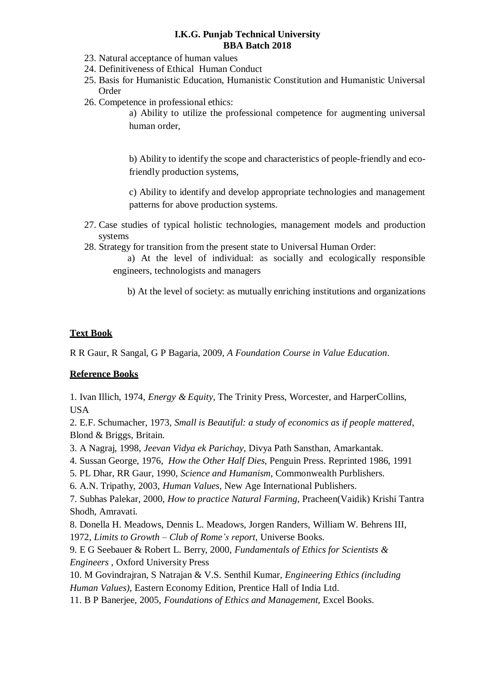#### **I.K.G. Punjab Technical University BBA Batch 2018**

- 23. Natural acceptance of human values
- 24. Definitiveness of Ethical Human Conduct
- 25. Basis for Humanistic Education, Humanistic Constitution and Humanistic Universal Order
- 26. Competence in professional ethics:

a) Ability to utilize the professional competence for augmenting universal human order,

b) Ability to identify the scope and characteristics of people-friendly and ecofriendly production systems,

c) Ability to identify and develop appropriate technologies and management patterns for above production systems.

- 27. Case studies of typical holistic technologies, management models and production systems
- 28. Strategy for transition from the present state to Universal Human Order:
	- a) At the level of individual: as socially and ecologically responsible engineers, technologists and managers
		- b) At the level of society: as mutually enriching institutions and organizations

# **Text Book**

R R Gaur, R Sangal, G P Bagaria, 2009, *A Foundation Course in Value Education*.

#### **Reference Books**

1. Ivan Illich, 1974, *Energy & Equity,* The Trinity Press, Worcester, and HarperCollins, USA

2. E.F. Schumacher, 1973, *Small is Beautiful: a study of economics as if people mattered*, Blond & Briggs, Britain.

3. A Nagraj, 1998, *Jeevan Vidya ek Parichay,* Divya Path Sansthan, Amarkantak.

4. Sussan George, 1976, *How the Other Half Dies,* Penguin Press. Reprinted 1986, 1991

5. PL Dhar, RR Gaur, 1990, *Science and Humanism*, Commonwealth Purblishers.

6. A.N. Tripathy, 2003, *Human Values*, New Age International Publishers.

7. Subhas Palekar, 2000, *How to practice Natural Farming,* Pracheen(Vaidik) Krishi Tantra Shodh, Amravati.

8. Donella [H. Meadows,](http://en.wikipedia.org/wiki/Donella_Meadows) Dennis [L. Meadows](http://en.wikipedia.org/wiki/Donella_Meadows)[, Jorgen Randers, William W.](http://en.wikipedia.org/wiki/J%C3%B8rgen_Randers) Behrens III, 1972, *Limits to Growth – Club of Rome's report*, Universe Books.

9. E G Seebauer & Robert L. Berry, 2000, *Fundamentals of Ethics for Scientists & Engineers ,* Oxford University Press

10. M Govindrajran, S Natrajan & V.S. Senthil Kumar, *Engineering Ethics (including Human Values)*, Eastern Economy Edition, Prentice Hall of India Ltd.

11. B P Banerjee, 2005, *Foundations of Ethics and Management,* Excel Books.